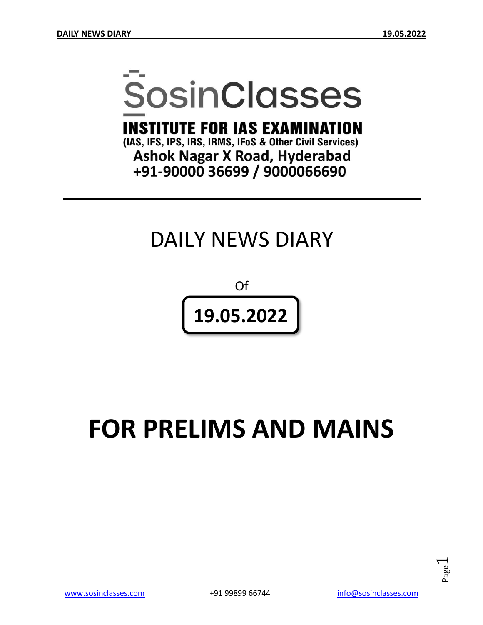# **SosinClasses**

**INSTITUTE FOR IAS EXAMINATION** 

(IAS, IFS, IPS, IRS, IRMS, IFoS & Other Civil Services) **Ashok Nagar X Road, Hyderabad** +91-90000 36699 / 9000066690

# DAILY NEWS DIARY

Of **19.05.2022**

# **FOR PRELIMS AND MAINS**

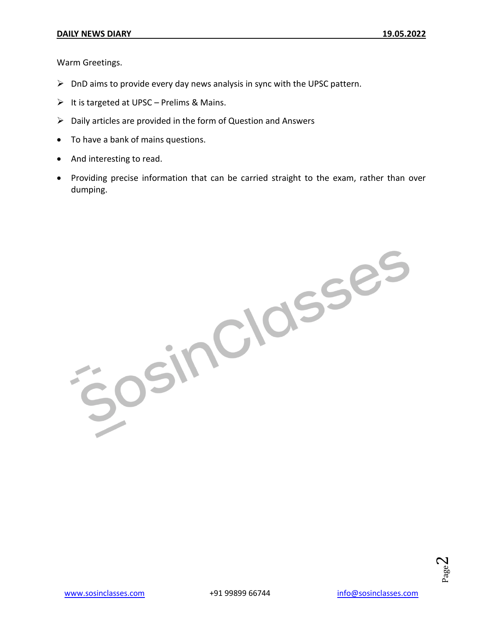Warm Greetings.

- $\triangleright$  DnD aims to provide every day news analysis in sync with the UPSC pattern.
- $\triangleright$  It is targeted at UPSC Prelims & Mains.
- $\triangleright$  Daily articles are provided in the form of Question and Answers
- To have a bank of mains questions.
- And interesting to read.
- Providing precise information that can be carried straight to the exam, rather than over dumping.

JOSINCIOSSES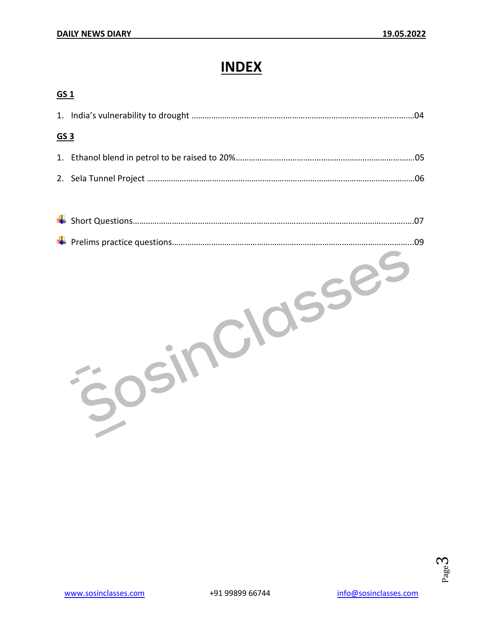# **INDEX**

| GS <sub>1</sub> |  |  |
|-----------------|--|--|
|                 |  |  |
| <u>GS 3</u>     |  |  |
|                 |  |  |
|                 |  |  |
|                 |  |  |

| .07 |
|-----|
| .09 |
|     |

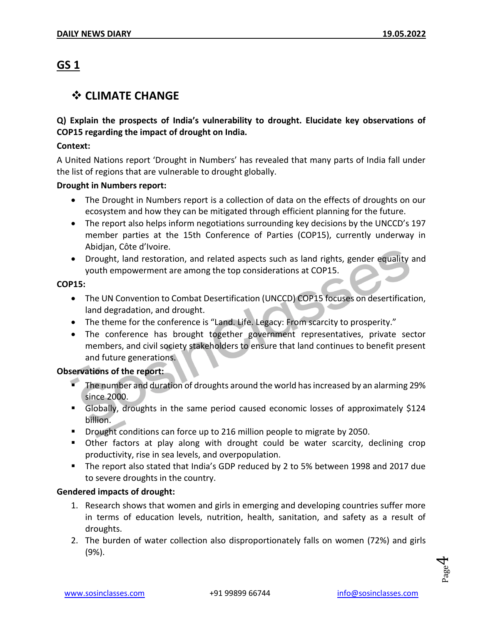### **GS 1**

#### ❖ **CLIMATE CHANGE**

#### **Q) Explain the prospects of India's vulnerability to drought. Elucidate key observations of COP15 regarding the impact of drought on India.**

#### **Context:**

A United Nations report 'Drought in Numbers' has revealed that many parts of India fall under the list of regions that are vulnerable to drought globally.

#### **Drought in Numbers report:**

- The Drought in Numbers report is a collection of data on the effects of droughts on our ecosystem and how they can be mitigated through efficient planning for the future.
- The report also helps inform negotiations surrounding key decisions by the UNCCD's 197 member parties at the 15th Conference of Parties (COP15), currently underway in Abidjan, Côte d'Ivoire.
- Drought, land restoration, and related aspects such as land rights, gender equality and youth empowerment are among the top considerations at COP15.

#### **COP15:**

- The UN Convention to Combat Desertification (UNCCD) COP15 focuses on desertification, land degradation, and drought.
- The theme for the conference is "Land. Life. Legacy: From scarcity to prosperity."
- The conference has brought together government representatives, private sector members, and civil society stakeholders to ensure that land continues to benefit present and future generations.

#### **Observations of the report:**

- The number and duration of droughts around the world has increased by an alarming 29% since 2000.
- Globally, droughts in the same period caused economic losses of approximately \$124 billion.
- Drought conditions can force up to 216 million people to migrate by 2050.
- **•** Other factors at play along with drought could be water scarcity, declining crop productivity, rise in sea levels, and overpopulation.
- The report also stated that India's GDP reduced by 2 to 5% between 1998 and 2017 due to severe droughts in the country.

#### **Gendered impacts of drought:**

- 1. Research shows that women and girls in emerging and developing countries suffer more in terms of education levels, nutrition, health, sanitation, and safety as a result of droughts.
- 2. The burden of water collection also disproportionately falls on women (72%) and girls (9%).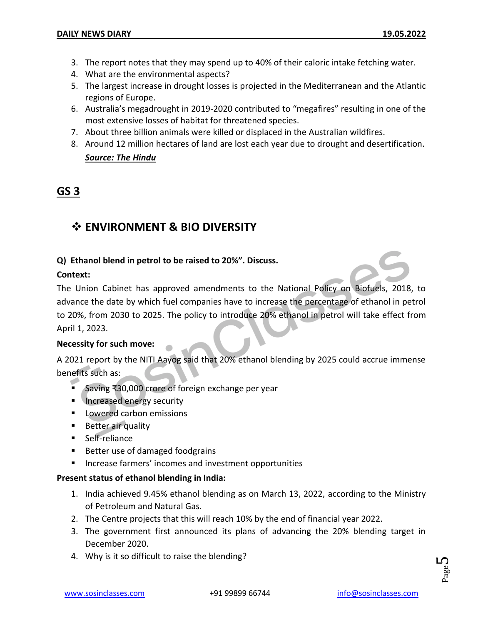- 3. The report notes that they may spend up to 40% of their caloric intake fetching water.
- 4. What are the environmental aspects?
- 5. The largest increase in drought losses is projected in the Mediterranean and the Atlantic regions of Europe.
- 6. Australia's megadrought in 2019-2020 contributed to "megafires" resulting in one of the most extensive losses of habitat for threatened species.
- 7. About three billion animals were killed or displaced in the Australian wildfires.
- 8. Around 12 million hectares of land are lost each year due to drought and desertification.

#### *Source: The Hindu*

#### **GS 3**

# ❖ **ENVIRONMENT & BIO DIVERSITY**

#### **Q) Ethanol blend in petrol to be raised to 20%". Discuss.**

#### **Context:**

The Union Cabinet has approved amendments to the National Policy on Biofuels, 2018, to advance the date by which fuel companies have to increase the percentage of ethanol in petrol to 20%, from 2030 to 2025. The policy to introduce 20% ethanol in petrol will take effect from April 1, 2023.

#### **Necessity for such move:**

A 2021 report by the NITI Aayog said that 20% ethanol blending by 2025 could accrue immense benefits such as:

- Saving ₹30,000 crore of foreign exchange per year
- **E** Increased energy security
- Lowered carbon emissions
- Better air quality
- **■** Self-reliance
- Better use of damaged foodgrains
- Increase farmers' incomes and investment opportunities

#### **Present status of ethanol blending in India:**

- 1. India achieved 9.45% ethanol blending as on March 13, 2022, according to the Ministry of Petroleum and Natural Gas.
- 2. The Centre projects that this will reach 10% by the end of financial year 2022.
- 3. The government first announced its plans of advancing the 20% blending target in December 2020.
- 4. Why is it so difficult to raise the blending?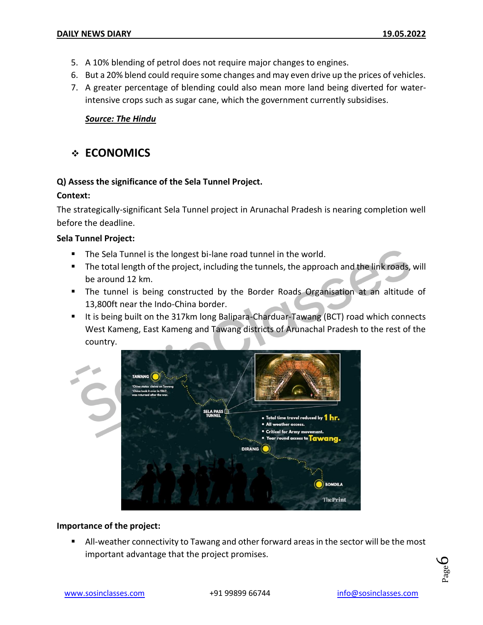- 5. A 10% blending of petrol does not require major changes to engines.
- 6. But a 20% blend could require some changes and may even drive up the prices of vehicles.
- 7. A greater percentage of blending could also mean more land being diverted for waterintensive crops such as sugar cane, which the government currently subsidises.

#### *Source: The Hindu*

#### ❖ **ECONOMICS**

#### **Q) Assess the significance of the Sela Tunnel Project.**

#### **Context:**

The strategically-significant Sela Tunnel project in Arunachal Pradesh is nearing completion well before the deadline.

#### **Sela Tunnel Project:**

- The Sela Tunnel is the longest bi-lane road tunnel in the world.
- The total length of the project, including the tunnels, the approach and the link roads, will be around 12 km.
- The tunnel is being constructed by the Border Roads Organisation at an altitude of 13,800ft near the Indo-China border.
- It is being built on the 317km long Balipara-Charduar-Tawang (BCT) road which connects West Kameng, East Kameng and Tawang districts of Arunachal Pradesh to the rest of the country.



#### **Importance of the project:**

■ All-weather connectivity to Tawang and other forward areas in the sector will be the most important advantage that the project promises.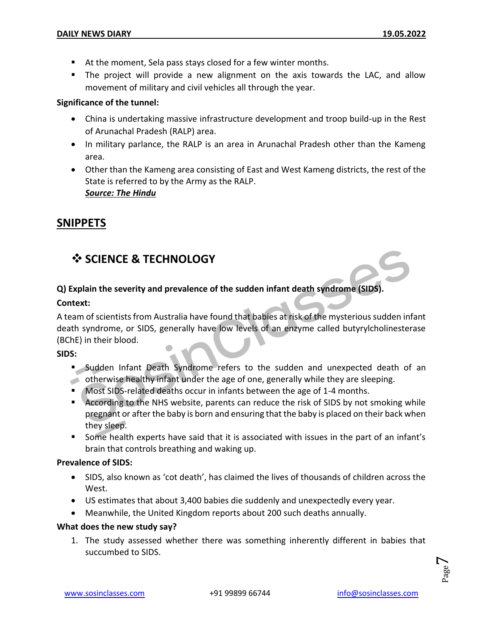- At the moment, Sela pass stays closed for a few winter months.
- The project will provide a new alignment on the axis towards the LAC, and allow movement of military and civil vehicles all through the year.

#### **Significance of the tunnel:**

- China is undertaking massive infrastructure development and troop build-up in the Rest of Arunachal Pradesh (RALP) area.
- In military parlance, the RALP is an area in Arunachal Pradesh other than the Kameng area.
- Other than the Kameng area consisting of East and West Kameng districts, the rest of the State is referred to by the Army as the RALP. *Source: The Hindu*

#### **SNIPPETS**

# ❖ **SCIENCE & TECHNOLOGY**

#### **Q) Explain the severity and prevalence of the sudden infant death syndrome (SIDS).**

#### **Context:**

A team of scientists from Australia have found that babies at risk of the mysterious sudden infant death syndrome, or SIDS, generally have low levels of an enzyme called butyrylcholinesterase (BChE) in their blood.

#### **SIDS:**

- Sudden Infant Death Syndrome refers to the sudden and unexpected death of an
- otherwise healthy infant under the age of one, generally while they are sleeping. ■ Most SIDS-related deaths occur in infants between the age of 1-4 months.
- According to the NHS website, parents can reduce the risk of SIDS by not smoking while pregnant or after the baby is born and ensuring that the baby is placed on their back when they sleep.
- Some health experts have said that it is associated with issues in the part of an infant's brain that controls breathing and waking up.

#### **Prevalence of SIDS:**

- SIDS, also known as 'cot death', has claimed the lives of thousands of children across the West.
- US estimates that about 3,400 babies die suddenly and unexpectedly every year.
- Meanwhile, the United Kingdom reports about 200 such deaths annually.

#### **What does the new study say?**

1. The study assessed whether there was something inherently different in babies that succumbed to SIDS.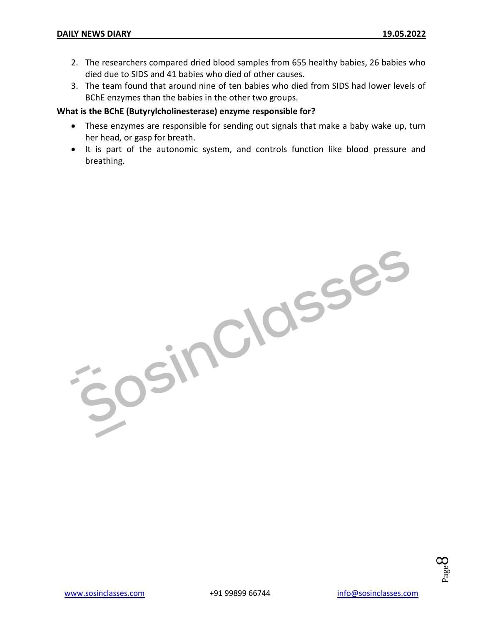- 2. The researchers compared dried blood samples from 655 healthy babies, 26 babies who died due to SIDS and 41 babies who died of other causes.
- 3. The team found that around nine of ten babies who died from SIDS had lower levels of BChE enzymes than the babies in the other two groups.

#### **What is the BChE (Butyrylcholinesterase) enzyme responsible for?**

- These enzymes are responsible for sending out signals that make a baby wake up, turn her head, or gasp for breath.
- It is part of the autonomic system, and controls function like blood pressure and breathing.

OsinClasses

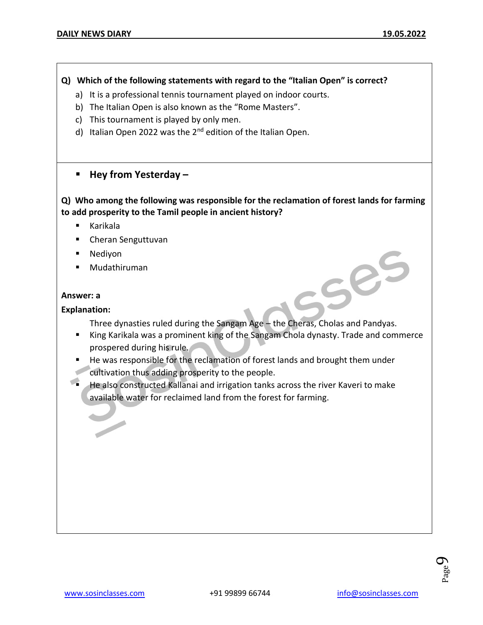#### **Q) Which of the following statements with regard to the "Italian Open" is correct?**

- a) It is a professional tennis tournament played on indoor courts.
- b) The Italian Open is also known as the "Rome Masters".
- c) This tournament is played by only men.
- d) Italian Open 2022 was the 2<sup>nd</sup> edition of the Italian Open.

#### ▪ **Hey from Yesterday –**

#### **Q) Who among the following was responsible for the reclamation of forest lands for farming to add prosperity to the Tamil people in ancient history?**

- Karikala
- Cheran Senguttuvan
- Nediyon
- Mudathiruman

#### **Answer: a**

#### **Explanation:**

Three dynasties ruled during the Sangam Age – the Cheras, Cholas and Pandyas.

- King Karikala was a prominent king of the Sangam Chola dynasty. Trade and commerce prospered during his rule.
- He was responsible for the reclamation of forest lands and brought them under cultivation thus adding prosperity to the people.
- He also constructed Kallanai and irrigation tanks across the river Kaveri to make available water for reclaimed land from the forest for farming.